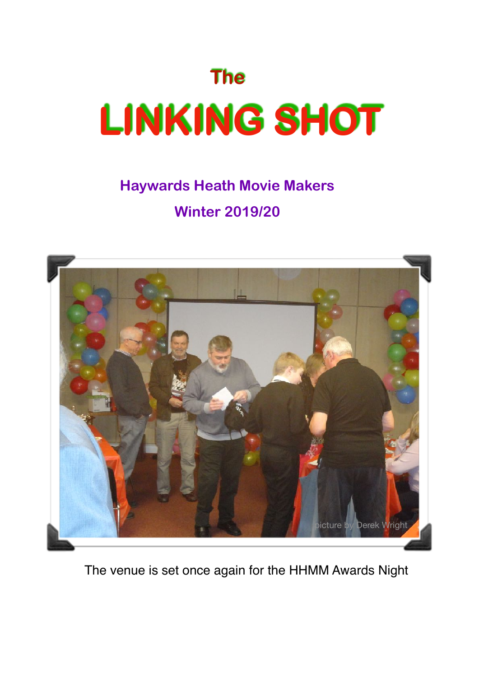# **The LINKING SHOT**

# **Haywards Heath Movie Makers Winter 2019/20**



The venue is set once again for the HHMM Awards Night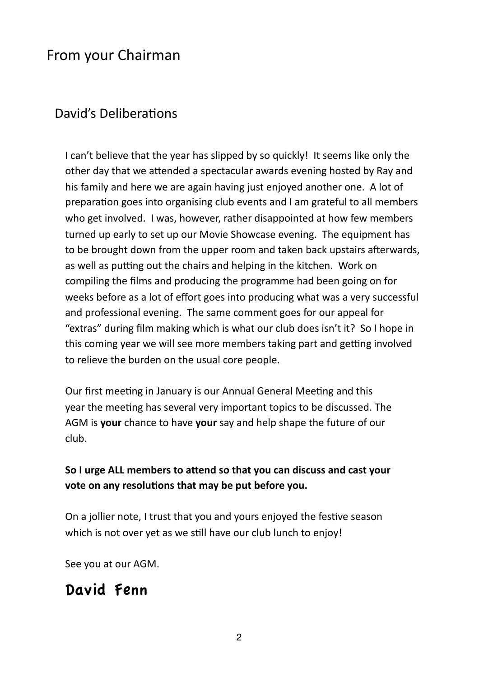### From your Chairman

#### David's Deliberations

I can't believe that the year has slipped by so quickly! It seems like only the other day that we attended a spectacular awards evening hosted by Ray and his family and here we are again having just enjoyed another one. A lot of preparation goes into organising club events and I am grateful to all members who get involved. I was, however, rather disappointed at how few members turned up early to set up our Movie Showcase evening. The equipment has to be brought down from the upper room and taken back upstairs afterwards, as well as putting out the chairs and helping in the kitchen. Work on compiling the films and producing the programme had been going on for weeks before as a lot of effort goes into producing what was a very successful and professional evening. The same comment goes for our appeal for "extras" during film making which is what our club does isn't it? So I hope in this coming year we will see more members taking part and getting involved to relieve the burden on the usual core people.

Our first meeting in January is our Annual General Meeting and this year the meeting has several very important topics to be discussed. The AGM is your chance to have your say and help shape the future of our club. 

#### So I urge ALL members to attend so that you can discuss and cast your vote on any resolutions that may be put before you.

On a jollier note, I trust that you and yours enjoyed the festive season which is not over yet as we still have our club lunch to enjoy!

See you at our AGM.

## David Fenn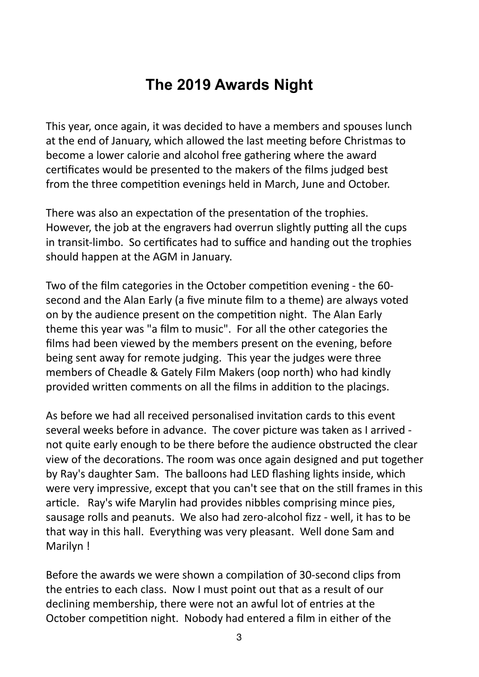# **The 2019 Awards Night**

This year, once again, it was decided to have a members and spouses lunch at the end of January, which allowed the last meeting before Christmas to become a lower calorie and alcohol free gathering where the award certificates would be presented to the makers of the films judged best from the three competition evenings held in March, June and October.

There was also an expectation of the presentation of the trophies. However, the job at the engravers had overrun slightly putting all the cups in transit-limbo. So certificates had to suffice and handing out the trophies should happen at the AGM in January.

Two of the film categories in the October competition evening - the 60second and the Alan Early (a five minute film to a theme) are always voted on by the audience present on the competition night. The Alan Early theme this year was "a film to music". For all the other categories the films had been viewed by the members present on the evening, before being sent away for remote judging. This year the judges were three members of Cheadle & Gately Film Makers (oop north) who had kindly provided written comments on all the films in addition to the placings.

As before we had all received personalised invitation cards to this event several weeks before in advance. The cover picture was taken as I arrived not quite early enough to be there before the audience obstructed the clear view of the decorations. The room was once again designed and put together by Ray's daughter Sam. The balloons had LED flashing lights inside, which were very impressive, except that you can't see that on the still frames in this article. Ray's wife Marylin had provides nibbles comprising mince pies, sausage rolls and peanuts. We also had zero-alcohol fizz - well, it has to be that way in this hall. Everything was very pleasant. Well done Sam and Marilyn!

Before the awards we were shown a compilation of 30-second clips from the entries to each class. Now I must point out that as a result of our declining membership, there were not an awful lot of entries at the October competition night. Nobody had entered a film in either of the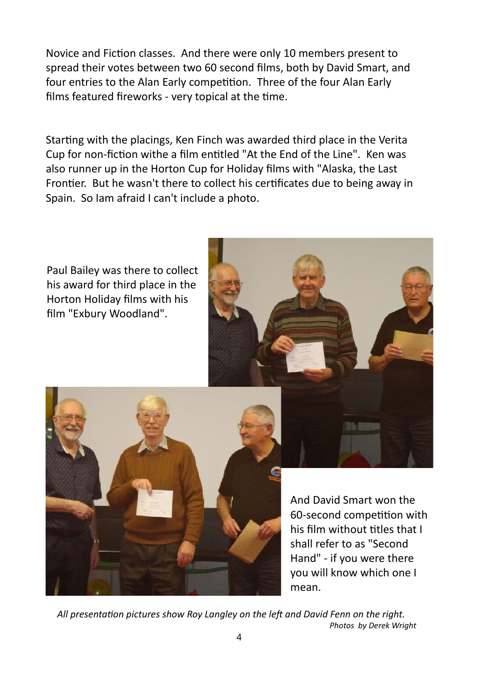Novice and Fiction classes. And there were only 10 members present to spread their votes between two 60 second films, both by David Smart, and four entries to the Alan Early competition. Three of the four Alan Early films featured fireworks - very topical at the time.

Starting with the placings, Ken Finch was awarded third place in the Verita Cup for non-fiction withe a film entitled "At the End of the Line". Ken was also runner up in the Horton Cup for Holiday films with "Alaska, the Last Frontier. But he wasn't there to collect his certificates due to being away in Spain. So lam afraid I can't include a photo.



And David Smart won the 60-second competition with his film without titles that I shall refer to as "Second Hand" - if you were there you will know which one I mean. 

All presentation pictures show Roy Langley on the left and David Fenn on the right. *Photos by Derek Wright*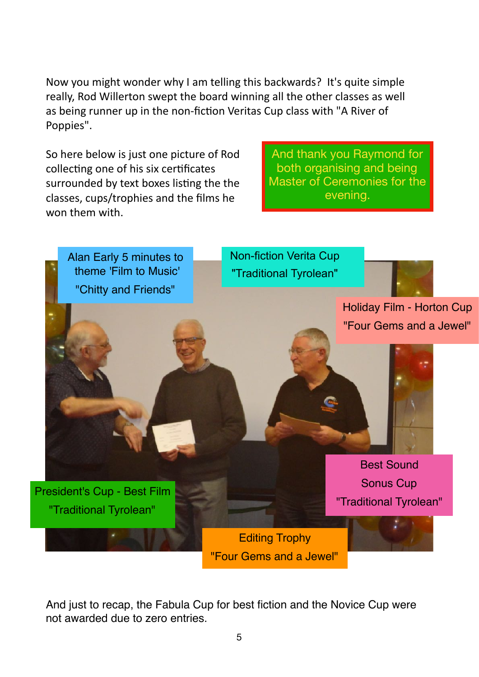Now you might wonder why I am telling this backwards? It's quite simple really, Rod Willerton swept the board winning all the other classes as well as being runner up in the non-fiction Veritas Cup class with "A River of Poppies". 

So here below is just one picture of Rod collecting one of his six certificates surrounded by text boxes listing the the classes, cups/trophies and the films he won them with.

And thank you Raymond for both organising and being Master of Ceremonies for the evening.



And just to recap, the Fabula Cup for best fiction and the Novice Cup were not awarded due to zero entries.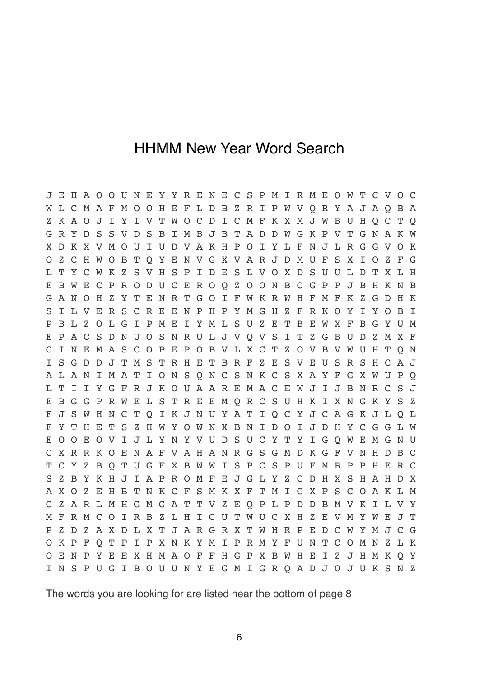#### HHMM New Year Word Search

J E H A Q O U N E Y Y R E N E C S P M I R M E Q W T C V O C W L C M A F M O O H E F L D B Z R I P W V Q R Y A J A Q B A Z K A O J I Y I V T W O C D I C M F K X M J W B U H Q C T Q G R Y D S S V D S B I M B J B T A D D W G K P V T G N A K W X D K X V M O U I U D V A K H P O I Y L F N J L R G G V O K O Z C H W O B T Q Y E N V G X V A R J D M U F S X I O Z F G L T Y C W K Z S V H S P I D E S L V O X D S U U L D T X L H E B W E C P R O D U C E R O Q Z O O N B C G P P J B H K N B G A N O H Z Y T E N R T G O I F W K R W H F M F K Z G D H K S I L V E R S C R E E N P H P Y M G H Z F R K O Y I Y Q B I P B L Z O L G I P M E I Y M L S U Z E T B E W X F B G Y U M E P A C S D N U O S N R U L J V Q V S I T Z G B U D Z M X F C I N E M A S C O P E P O B V L X C T Z O V B V W U H T Q N I S G D D J T M S T R H E T B R F Z E S V E U S R S H C A J A L A N I M A T I O N S Q N C S N K C S X A Y F G X W U P Q L T I I Y G F R J K O U A A R E M A C E W J I J B N R C S J E B G G P R W E L S T R E E M Q R C S U H K I X N G K Y S Z F J S W H N C T Q I K J N U Y A T I Q C Y J C A G K J L Q L F Y T H E T S Z H W Y O W N X B N I D O I J D H Y C G G L W E O O E O V I J L Y N Y V U D S U C Y T Y I G Q W E M G N U C X R R K O E N A F V A H A N R G S G M D K G F V N H D B C T C Y Z B Q T U G F X B W W I S P C S P U F M B P P H E R C S Z B Y K H J I A P R O M F E J G L Y Z C D H X S H A H D X A X O Z E H B T N K C F S M K X F T M I G X P S C O A K L M C Z A R L M H G M G A T T V Z E Q P L P D D B M V K I L V Y M F R M C O I R B Z L H I C U T W U C X H Z E V M Y W E J T P Z D Z A X D L X T J A R G R X T W H R P E D C W Y M J C G O K P F Q T P I P X N K Y M I P R M Y F U N T C O M N Z L K O E N P Y E E X H M A O F F H G P X B W H E I Z J H M K Q Y I N S P U G I B O U U N Y E G M I G R Q A D J O J U K S N Z

The words you are looking for are listed near the bottom of page 8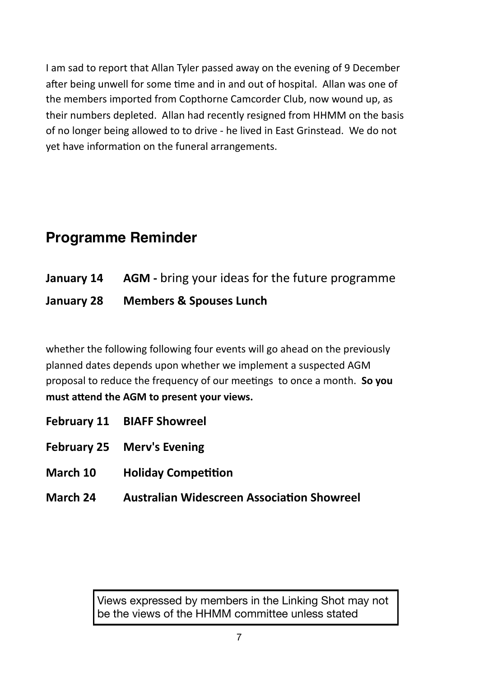I am sad to report that Allan Tyler passed away on the evening of 9 December after being unwell for some time and in and out of hospital. Allan was one of the members imported from Copthorne Camcorder Club, now wound up, as their numbers depleted. Allan had recently resigned from HHMM on the basis of no longer being allowed to to drive - he lived in East Grinstead. We do not vet have information on the funeral arrangements.

# **Programme Reminder**

|            | <b>January 14 AGM</b> - bring your ideas for the future programme |
|------------|-------------------------------------------------------------------|
| January 28 | <b>Members &amp; Spouses Lunch</b>                                |

whether the following following four events will go ahead on the previously planned dates depends upon whether we implement a suspected AGM proposal to reduce the frequency of our meetings to once a month. So you must attend the AGM to present your views.

- **February 11 BIAFF Showreel**
- **February 25 Merv's Evening**
- **March 10 Holiday Competition**
- **March 24 •• Australian Widescreen Association Showreel**

Views expressed by members in the Linking Shot may not be the views of the HHMM committee unless stated